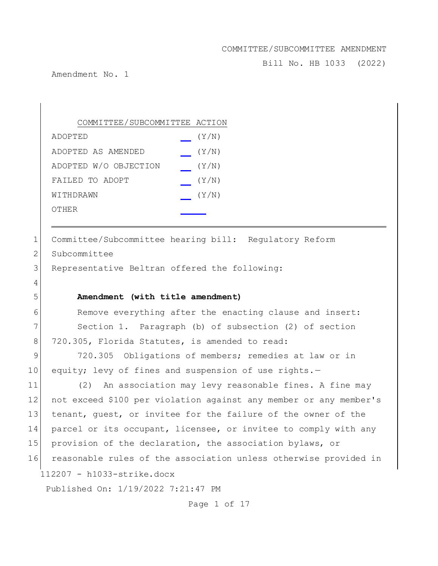Bill No. HB 1033 (2022)

Amendment No. 1

| COMMITTEE/SUBCOMMITTEE ACTION |       |
|-------------------------------|-------|
| ADOPTED                       | (Y/N) |
| ADOPTED AS AMENDED            | (Y/N) |
| ADOPTED W/O OBJECTION         | (Y/N) |
| FAILED TO ADOPT               | (Y/N) |
| WITHDRAWN                     | (Y/N) |
| OTHER                         |       |

112207 - h1033-strike.docx 1 Committee/Subcommittee hearing bill: Regulatory Reform 2 Subcommittee 3 Representative Beltran offered the following: 4 5 **Amendment (with title amendment)** 6 Remove everything after the enacting clause and insert: 7 Section 1. Paragraph (b) of subsection (2) of section 8 720.305, Florida Statutes, is amended to read: 9 720.305 Obligations of members; remedies at law or in 10 equity; levy of fines and suspension of use rights.-11 (2) An association may levy reasonable fines. A fine may 12 not exceed \$100 per violation against any member or any member's 13 tenant, guest, or invitee for the failure of the owner of the 14 parcel or its occupant, licensee, or invitee to comply with any 15 provision of the declaration, the association bylaws, or 16 reasonable rules of the association unless otherwise provided in

Published On: 1/19/2022 7:21:47 PM

Page 1 of 17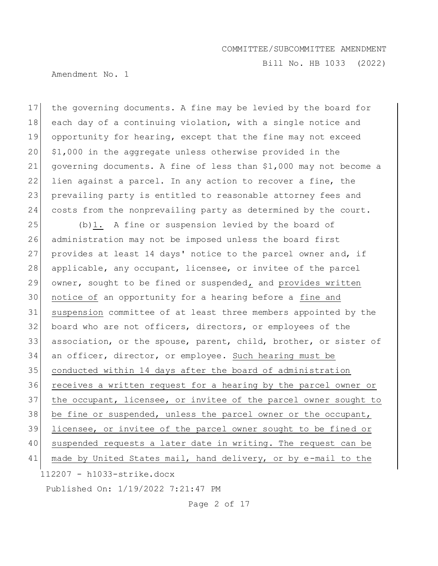Bill No. HB 1033 (2022)

Amendment No. 1

17 the governing documents. A fine may be levied by the board for 18 each day of a continuing violation, with a single notice and 19 opportunity for hearing, except that the fine may not exceed  $20^\circ$  \$1,000 in the aggregate unless otherwise provided in the 21 governing documents. A fine of less than \$1,000 may not become a 22 lien against a parcel. In any action to recover a fine, the 23 prevailing party is entitled to reasonable attorney fees and 24 costs from the nonprevailing party as determined by the court.

112207 - h1033-strike.docx  $25$  (b)1. A fine or suspension levied by the board of 26 administration may not be imposed unless the board first 27 provides at least 14 days' notice to the parcel owner and, if 28 applicable, any occupant, licensee, or invitee of the parcel 29 owner, sought to be fined or suspended, and provides written 30 | notice of an opportunity for a hearing before a fine and 31 suspension committee of at least three members appointed by the 32 board who are not officers, directors, or employees of the 33 association, or the spouse, parent, child, brother, or sister of 34 an officer, director, or employee. Such hearing must be 35 conducted within 14 days after the board of administration 36 receives a written request for a hearing by the parcel owner or 37 the occupant, licensee, or invitee of the parcel owner sought to 38 be fine or suspended, unless the parcel owner or the occupant, 39 licensee, or invitee of the parcel owner sought to be fined or 40 suspended requests a later date in writing. The request can be 41 made by United States mail, hand delivery, or by e-mail to the

Published On: 1/19/2022 7:21:47 PM

Page 2 of 17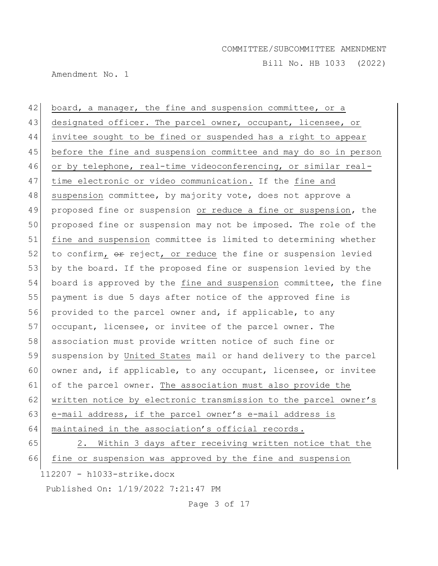Bill No. HB 1033 (2022)

Amendment No. 1

112207 - h1033-strike.docx 42 board, a manager, the fine and suspension committee, or a 43 designated officer. The parcel owner, occupant, licensee, or 44 invitee sought to be fined or suspended has a right to appear 45 before the fine and suspension committee and may do so in person 46 or by telephone, real-time videoconferencing, or similar real-47 time electronic or video communication. If the fine and 48 suspension committee, by majority vote, does not approve a 49 proposed fine or suspension or reduce a fine or suspension, the 50 proposed fine or suspension may not be imposed. The role of the 51 fine and suspension committee is limited to determining whether  $52$  to confirm,  $\theta$  reject, or reduce the fine or suspension levied 53 by the board. If the proposed fine or suspension levied by the 54 board is approved by the fine and suspension committee, the fine 55 payment is due 5 days after notice of the approved fine is 56 provided to the parcel owner and, if applicable, to any 57 occupant, licensee, or invitee of the parcel owner. The 58 association must provide written notice of such fine or 59 suspension by United States mail or hand delivery to the parcel 60 owner and, if applicable, to any occupant, licensee, or invitee 61 of the parcel owner. The association must also provide the 62 written notice by electronic transmission to the parcel owner's 63 e-mail address, if the parcel owner's e-mail address is 64 maintained in the association's official records. 65 2. Within 3 days after receiving written notice that the 66 fine or suspension was approved by the fine and suspension

Published On: 1/19/2022 7:21:47 PM

Page 3 of 17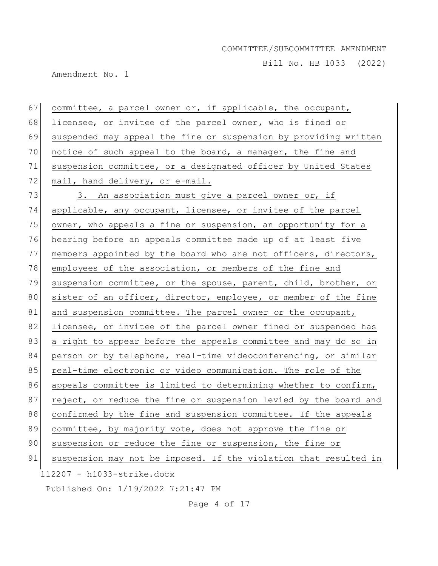Bill No. HB 1033 (2022)

Amendment No. 1

| 67 | committee, a parcel owner or, if applicable, the occupant,       |
|----|------------------------------------------------------------------|
| 68 | licensee, or invitee of the parcel owner, who is fined or        |
| 69 | suspended may appeal the fine or suspension by providing written |
| 70 | notice of such appeal to the board, a manager, the fine and      |
| 71 | suspension committee, or a designated officer by United States   |
| 72 | mail, hand delivery, or e-mail.                                  |
| 73 | 3. An association must give a parcel owner or, if                |
| 74 | applicable, any occupant, licensee, or invitee of the parcel     |
| 75 | owner, who appeals a fine or suspension, an opportunity for a    |
| 76 | hearing before an appeals committee made up of at least five     |
| 77 | members appointed by the board who are not officers, directors,  |
| 78 | employees of the association, or members of the fine and         |
| 79 | suspension committee, or the spouse, parent, child, brother, or  |
| 80 | sister of an officer, director, employee, or member of the fine  |
| 81 | and suspension committee. The parcel owner or the occupant,      |
| 82 | licensee, or invitee of the parcel owner fined or suspended has  |
| 83 | a right to appear before the appeals committee and may do so in  |
| 84 | person or by telephone, real-time videoconferencing, or similar  |
| 85 | real-time electronic or video communication. The role of the     |
| 86 | appeals committee is limited to determining whether to confirm,  |
| 87 | reject, or reduce the fine or suspension levied by the board and |
| 88 | confirmed by the fine and suspension committee. If the appeals   |
| 89 | committee, by majority vote, does not approve the fine or        |
| 90 | suspension or reduce the fine or suspension, the fine or         |
| 91 | suspension may not be imposed. If the violation that resulted in |
|    | 112207 - h1033-strike.docx                                       |
|    | Published On: 1/19/2022 7:21:47 PM                               |

Page 4 of 17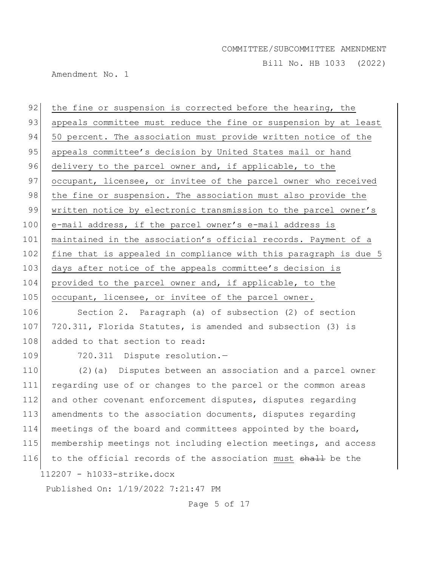Bill No. HB 1033 (2022)

Amendment No. 1

| 92  | the fine or suspension is corrected before the hearing, the      |
|-----|------------------------------------------------------------------|
| 93  | appeals committee must reduce the fine or suspension by at least |
| 94  | 50 percent. The association must provide written notice of the   |
| 95  | appeals committee's decision by United States mail or hand       |
| 96  | delivery to the parcel owner and, if applicable, to the          |
| 97  | occupant, licensee, or invitee of the parcel owner who received  |
| 98  | the fine or suspension. The association must also provide the    |
| 99  | written notice by electronic transmission to the parcel owner's  |
| 100 | e-mail address, if the parcel owner's e-mail address is          |
| 101 | maintained in the association's official records. Payment of a   |
| 102 | fine that is appealed in compliance with this paragraph is due 5 |
| 103 | days after notice of the appeals committee's decision is         |
| 104 | provided to the parcel owner and, if applicable, to the          |
| 105 | occupant, licensee, or invitee of the parcel owner.              |
| 106 | Section 2. Paragraph (a) of subsection (2) of section            |
| 107 | 720.311, Florida Statutes, is amended and subsection (3) is      |
| 108 | added to that section to read:                                   |
| 109 | 720.311 Dispute resolution.-                                     |
| 110 | (2) (a) Disputes between an association and a parcel owner       |
| 111 | regarding use of or changes to the parcel or the common areas    |
| 112 | and other covenant enforcement disputes, disputes regarding      |
| 113 | amendments to the association documents, disputes regarding      |
| 114 | meetings of the board and committees appointed by the board,     |
| 115 | membership meetings not including election meetings, and access  |
| 116 | to the official records of the association must shall be the     |
|     | 112207 - h1033-strike.docx                                       |
|     | Published On: 1/19/2022 7:21:47 PM                               |

Page 5 of 17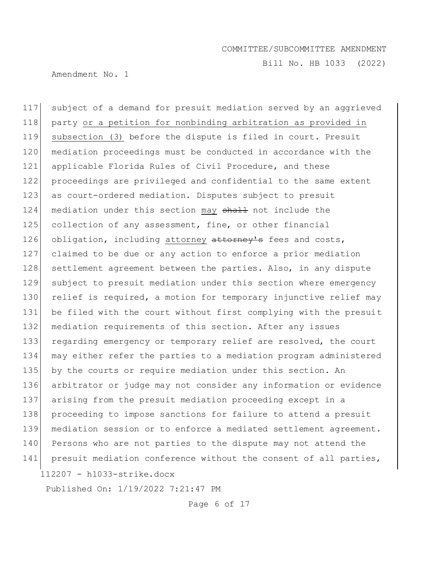Bill No. HB 1033 (2022)

Amendment No. 1

112207 - h1033-strike.docx 117 subject of a demand for presuit mediation served by an aggrieved 118 party or a petition for nonbinding arbitration as provided in 119 subsection (3) before the dispute is filed in court. Presuit 120 mediation proceedings must be conducted in accordance with the 121 applicable Florida Rules of Civil Procedure, and these 122 proceedings are privileged and confidential to the same extent 123 as court-ordered mediation. Disputes subject to presuit 124 mediation under this section may shall not include the 125 collection of any assessment, fine, or other financial 126 obligation, including attorney attorney's fees and costs, 127 claimed to be due or any action to enforce a prior mediation 128 settlement agreement between the parties. Also, in any dispute 129 subject to presuit mediation under this section where emergency 130 relief is required, a motion for temporary injunctive relief may 131 be filed with the court without first complying with the presuit 132 mediation requirements of this section. After any issues 133 regarding emergency or temporary relief are resolved, the court 134 may either refer the parties to a mediation program administered 135 by the courts or require mediation under this section. An 136 arbitrator or judge may not consider any information or evidence 137 arising from the presuit mediation proceeding except in a 138 proceeding to impose sanctions for failure to attend a presuit 139 mediation session or to enforce a mediated settlement agreement. 140 Persons who are not parties to the dispute may not attend the 141 presuit mediation conference without the consent of all parties,

Published On: 1/19/2022 7:21:47 PM

Page 6 of 17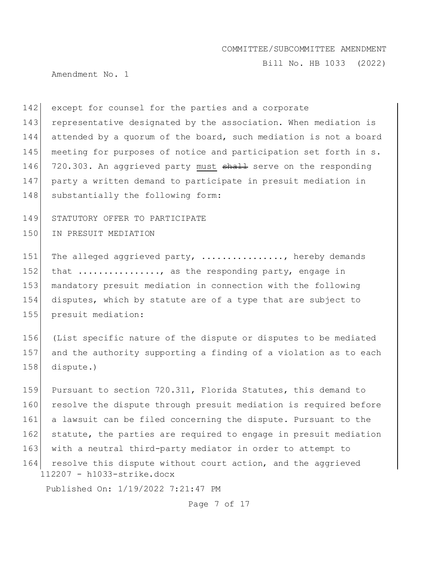Bill No. HB 1033 (2022)

Amendment No. 1

142 except for counsel for the parties and a corporate 143 representative designated by the association. When mediation is 144 attended by a quorum of the board, such mediation is not a board 145 meeting for purposes of notice and participation set forth in s. 146 720.303. An aggrieved party must shall serve on the responding 147 party a written demand to participate in presuit mediation in 148 substantially the following form:

149 STATUTORY OFFER TO PARTICIPATE

150 IN PRESUIT MEDIATION

151 The alleged aggrieved party, ..............., hereby demands 152 that  $\dots \dots \dots \dots$ , as the responding party, engage in 153 mandatory presuit mediation in connection with the following 154 disputes, which by statute are of a type that are subject to 155 presuit mediation:

156 (List specific nature of the dispute or disputes to be mediated 157 and the authority supporting a finding of a violation as to each 158 dispute.)

112207 - h1033-strike.docx 159 Pursuant to section 720.311, Florida Statutes, this demand to 160 resolve the dispute through presuit mediation is required before 161 a lawsuit can be filed concerning the dispute. Pursuant to the 162 statute, the parties are required to engage in presuit mediation 163 with a neutral third-party mediator in order to attempt to 164 resolve this dispute without court action, and the aggrieved

Published On: 1/19/2022 7:21:47 PM

Page 7 of 17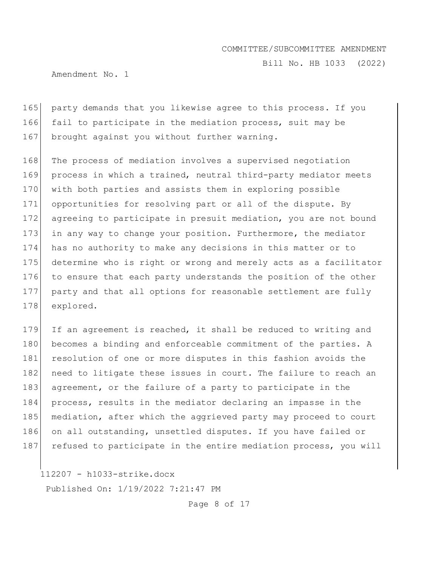Bill No. HB 1033 (2022)

Amendment No. 1

165 party demands that you likewise agree to this process. If you 166 fail to participate in the mediation process, suit may be 167 brought against you without further warning.

 The process of mediation involves a supervised negotiation process in which a trained, neutral third-party mediator meets 170 with both parties and assists them in exploring possible opportunities for resolving part or all of the dispute. By agreeing to participate in presuit mediation, you are not bound 173 in any way to change your position. Furthermore, the mediator has no authority to make any decisions in this matter or to determine who is right or wrong and merely acts as a facilitator 176 to ensure that each party understands the position of the other party and that all options for reasonable settlement are fully explored.

179 If an agreement is reached, it shall be reduced to writing and 180 becomes a binding and enforceable commitment of the parties. A 181 resolution of one or more disputes in this fashion avoids the 182 need to litigate these issues in court. The failure to reach an 183 agreement, or the failure of a party to participate in the 184 process, results in the mediator declaring an impasse in the 185 mediation, after which the aggrieved party may proceed to court 186 on all outstanding, unsettled disputes. If you have failed or 187 refused to participate in the entire mediation process, you will

112207 - h1033-strike.docx

Published On: 1/19/2022 7:21:47 PM

Page 8 of 17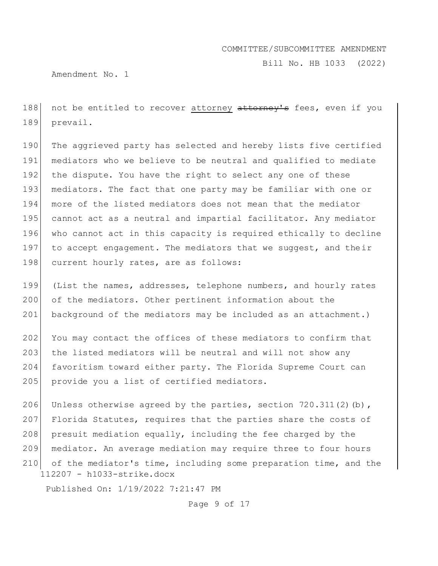Bill No. HB 1033 (2022)

Amendment No. 1

188 not be entitled to recover attorney attorney's fees, even if you 189 prevail.

190 The aggrieved party has selected and hereby lists five certified 191 mediators who we believe to be neutral and qualified to mediate 192 the dispute. You have the right to select any one of these 193 mediators. The fact that one party may be familiar with one or 194 more of the listed mediators does not mean that the mediator 195 cannot act as a neutral and impartial facilitator. Any mediator 196 who cannot act in this capacity is required ethically to decline 197 to accept engagement. The mediators that we suggest, and their 198 current hourly rates, are as follows:

199 (List the names, addresses, telephone numbers, and hourly rates 200 of the mediators. Other pertinent information about the 201 background of the mediators may be included as an attachment.)

202 You may contact the offices of these mediators to confirm that 203 the listed mediators will be neutral and will not show any 204 favoritism toward either party. The Florida Supreme Court can 205 provide you a list of certified mediators.

112207 - h1033-strike.docx 206 Unless otherwise agreed by the parties, section 720.311(2)(b), 207 Florida Statutes, requires that the parties share the costs of 208 presuit mediation equally, including the fee charged by the 209 mediator. An average mediation may require three to four hours 210 of the mediator's time, including some preparation time, and the

Published On: 1/19/2022 7:21:47 PM

Page 9 of 17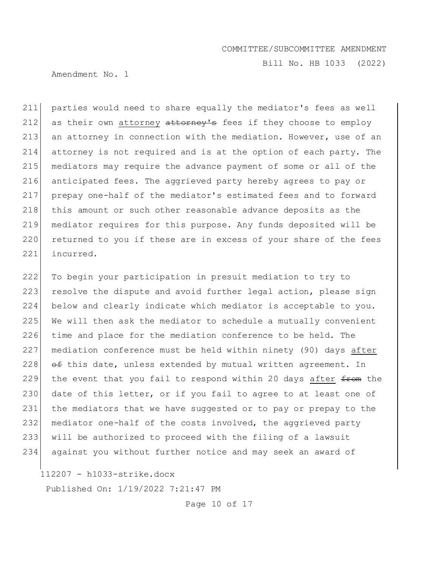Bill No. HB 1033 (2022)

Amendment No. 1

211 parties would need to share equally the mediator's fees as well 212 as their own attorney attorney's fees if they choose to employ 213 an attorney in connection with the mediation. However, use of an 214 attorney is not required and is at the option of each party. The 215 | mediators may require the advance payment of some or all of the 216 anticipated fees. The aggrieved party hereby agrees to pay or 217 prepay one-half of the mediator's estimated fees and to forward 218 this amount or such other reasonable advance deposits as the 219 mediator requires for this purpose. Any funds deposited will be 220 returned to you if these are in excess of your share of the fees 221 incurred.

 To begin your participation in presuit mediation to try to 223 resolve the dispute and avoid further legal action, please sign below and clearly indicate which mediator is acceptable to you. 225 We will then ask the mediator to schedule a mutually convenient time and place for the mediation conference to be held. The mediation conference must be held within ninety (90) days after  $\theta$   $\theta$   $\pm$  this date, unless extended by mutual written agreement. In 229 the event that you fail to respond within 20 days after  $f$  the the 230 date of this letter, or if you fail to agree to at least one of 231 the mediators that we have suggested or to pay or prepay to the mediator one-half of the costs involved, the aggrieved party will be authorized to proceed with the filing of a lawsuit against you without further notice and may seek an award of

112207 - h1033-strike.docx

Published On: 1/19/2022 7:21:47 PM

Page 10 of 17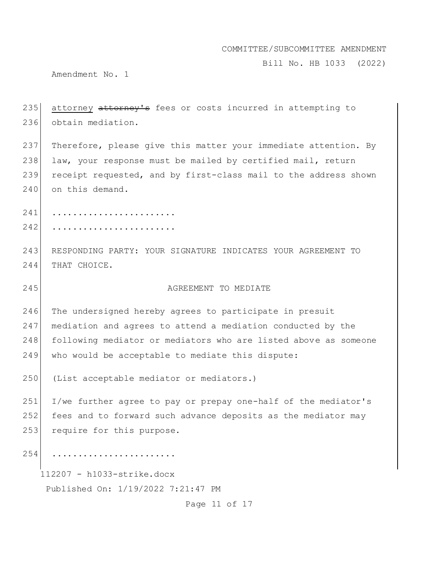Bill No. HB 1033 (2022)

Amendment No. 1

| 235 | attorney attorney's fees or costs incurred in attempting to     |
|-----|-----------------------------------------------------------------|
| 236 | obtain mediation.                                               |
| 237 | Therefore, please give this matter your immediate attention. By |
| 238 | law, your response must be mailed by certified mail, return     |
| 239 | receipt requested, and by first-class mail to the address shown |
| 240 | on this demand.                                                 |
| 241 | .                                                               |
| 242 |                                                                 |
| 243 | RESPONDING PARTY: YOUR SIGNATURE INDICATES YOUR AGREEMENT TO    |
| 244 | THAT CHOICE.                                                    |
| 245 | AGREEMENT TO MEDIATE                                            |
|     |                                                                 |
| 246 | The undersigned hereby agrees to participate in presuit         |
| 247 | mediation and agrees to attend a mediation conducted by the     |
| 248 | following mediator or mediators who are listed above as someone |
| 249 | who would be acceptable to mediate this dispute:                |
| 250 | (List acceptable mediator or mediators.)                        |
| 251 | I/we further agree to pay or prepay one-half of the mediator's  |
| 252 | fees and to forward such advance deposits as the mediator may   |
| 253 | require for this purpose.                                       |
| 254 | .                                                               |
|     | 112207 - h1033-strike.docx                                      |

Page 11 of 17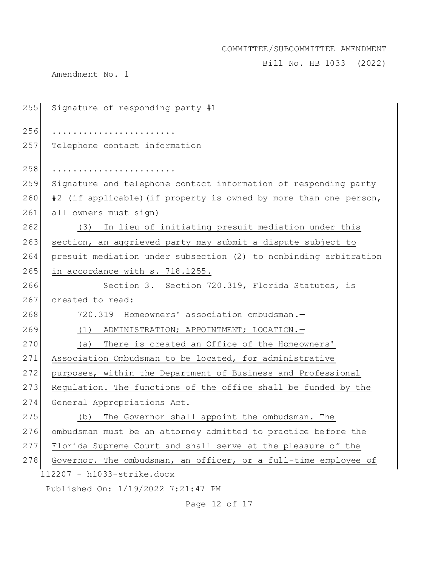Bill No. HB 1033 (2022)

Amendment No. 1

| 255 | Signature of responding party #1                                  |
|-----|-------------------------------------------------------------------|
| 256 |                                                                   |
| 257 | Telephone contact information                                     |
| 258 |                                                                   |
| 259 |                                                                   |
|     | Signature and telephone contact information of responding party   |
| 260 | #2 (if applicable) (if property is owned by more than one person, |
| 261 | all owners must sign)                                             |
| 262 | In lieu of initiating presuit mediation under this<br>(3)         |
| 263 | section, an aggrieved party may submit a dispute subject to       |
| 264 | presuit mediation under subsection (2) to nonbinding arbitration  |
| 265 | in accordance with s. 718.1255.                                   |
| 266 | Section 3. Section 720.319, Florida Statutes, is                  |
| 267 | created to read:                                                  |
| 268 | 720.319 Homeowners' association ombudsman.-                       |
| 269 | (1) ADMINISTRATION; APPOINTMENT; LOCATION. -                      |
| 270 | There is created an Office of the Homeowners'<br>(a)              |
| 271 | Association Ombudsman to be located, for administrative           |
| 272 | purposes, within the Department of Business and Professional      |
| 273 | Regulation. The functions of the office shall be funded by the    |
| 274 | General Appropriations Act.                                       |
| 275 | The Governor shall appoint the ombudsman. The<br>(b)              |
| 276 | ombudsman must be an attorney admitted to practice before the     |
| 277 | Florida Supreme Court and shall serve at the pleasure of the      |
| 278 | Governor. The ombudsman, an officer, or a full-time employee of   |
|     | 112207 - h1033-strike.docx                                        |
|     | Published On: 1/19/2022 7:21:47 PM                                |

Page 12 of 17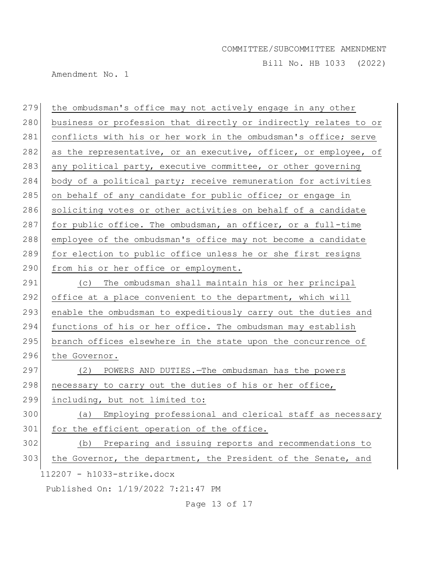Bill No. HB 1033 (2022)

Amendment No. 1

| 279 | the ombudsman's office may not actively engage in any other      |
|-----|------------------------------------------------------------------|
| 280 | business or profession that directly or indirectly relates to or |
| 281 | conflicts with his or her work in the ombudsman's office; serve  |
| 282 | as the representative, or an executive, officer, or employee, of |
| 283 | any political party, executive committee, or other governing     |
| 284 | body of a political party; receive remuneration for activities   |
| 285 | on behalf of any candidate for public office; or engage in       |
| 286 | soliciting votes or other activities on behalf of a candidate    |
| 287 | for public office. The ombudsman, an officer, or a full-time     |
| 288 | employee of the ombudsman's office may not become a candidate    |
| 289 | for election to public office unless he or she first resigns     |
| 290 | from his or her office or employment.                            |
| 291 | The ombudsman shall maintain his or her principal<br>(C)         |
| 292 | office at a place convenient to the department, which will       |
| 293 | enable the ombudsman to expeditiously carry out the duties and   |
| 294 | functions of his or her office. The ombudsman may establish      |
| 295 | branch offices elsewhere in the state upon the concurrence of    |
| 296 | the Governor.                                                    |
| 297 | POWERS AND DUTIES. - The ombudsman has the powers<br>(2)         |
| 298 | necessary to carry out the duties of his or her office,          |
| 299 | including, but not limited to:                                   |
| 300 | (a) Employing professional and clerical staff as necessary       |
| 301 | for the efficient operation of the office.                       |
| 302 | Preparing and issuing reports and recommendations to<br>(b)      |
| 303 | the Governor, the department, the President of the Senate, and   |
|     | 112207 - h1033-strike.docx                                       |
|     | Published On: 1/19/2022 7:21:47 PM                               |

Page 13 of 17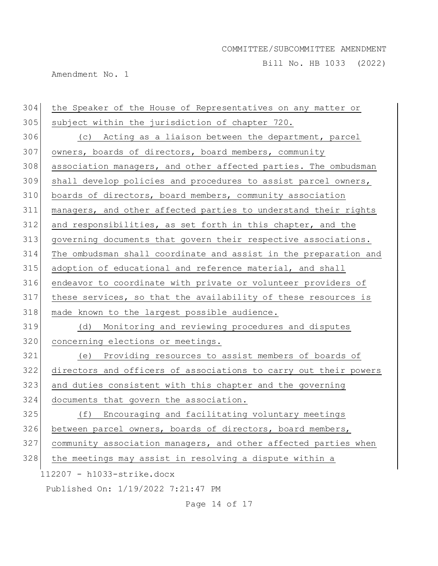Bill No. HB 1033 (2022)

Amendment No. 1

| 304 | the Speaker of the House of Representatives on any matter or     |
|-----|------------------------------------------------------------------|
| 305 | subject within the jurisdiction of chapter 720.                  |
| 306 | (c) Acting as a liaison between the department, parcel           |
| 307 | owners, boards of directors, board members, community            |
| 308 | association managers, and other affected parties. The ombudsman  |
| 309 | shall develop policies and procedures to assist parcel owners,   |
| 310 | boards of directors, board members, community association        |
| 311 | managers, and other affected parties to understand their rights  |
| 312 | and responsibilities, as set forth in this chapter, and the      |
| 313 | governing documents that govern their respective associations.   |
| 314 | The ombudsman shall coordinate and assist in the preparation and |
| 315 | adoption of educational and reference material, and shall        |
| 316 | endeavor to coordinate with private or volunteer providers of    |
| 317 | these services, so that the availability of these resources is   |
| 318 | made known to the largest possible audience.                     |
| 319 | (d)<br>Monitoring and reviewing procedures and disputes          |
| 320 | concerning elections or meetings.                                |
| 321 | Providing resources to assist members of boards of<br>(e)        |
| 322 | directors and officers of associations to carry out their powers |
| 323 | and duties consistent with this chapter and the governing        |
| 324 | documents that govern the association.                           |
| 325 | Encouraging and facilitating voluntary meetings<br>(f)           |
| 326 | between parcel owners, boards of directors, board members,       |
| 327 | community association managers, and other affected parties when  |
| 328 | the meetings may assist in resolving a dispute within a          |
|     | $112207 - h1033 - strike.docx$                                   |
|     | Published On: 1/19/2022 7:21:47 PM                               |

Page 14 of 17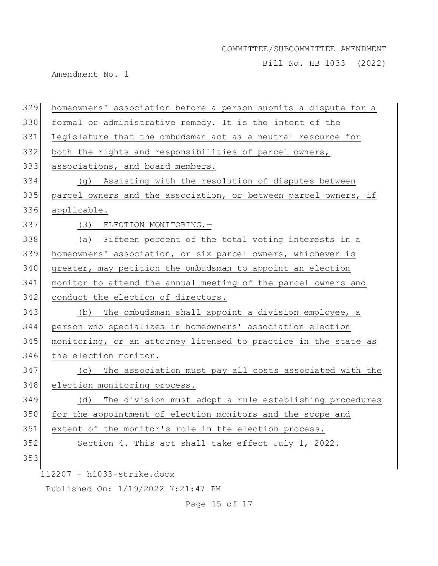Bill No. HB 1033 (2022)

Amendment No. 1

| homeowners' association before a person submits a dispute for a<br>330<br>formal or administrative remedy. It is the intent of the |  |
|------------------------------------------------------------------------------------------------------------------------------------|--|
|                                                                                                                                    |  |
| 331<br>Legislature that the ombudsman act as a neutral resource for                                                                |  |
| 332<br>both the rights and responsibilities of parcel owners,                                                                      |  |
| 333<br>associations, and board members.                                                                                            |  |
| 334<br>(g) Assisting with the resolution of disputes between                                                                       |  |
| 335<br>parcel owners and the association, or between parcel owners, if                                                             |  |
| 336<br>applicable.                                                                                                                 |  |
| 337<br>(3) ELECTION MONITORING.-                                                                                                   |  |
| 338<br>(a) Fifteen percent of the total voting interests in a                                                                      |  |
| 339<br>homeowners' association, or six parcel owners, whichever is                                                                 |  |
| 340<br>greater, may petition the ombudsman to appoint an election                                                                  |  |
| 341<br>monitor to attend the annual meeting of the parcel owners and                                                               |  |
| 342<br>conduct the election of directors.                                                                                          |  |
| 343<br>The ombudsman shall appoint a division employee, a<br>(b)                                                                   |  |
| 344<br>person who specializes in homeowners' association election                                                                  |  |
| 345<br>monitoring, or an attorney licensed to practice in the state as                                                             |  |
| 346<br>the election monitor.                                                                                                       |  |
| 347<br>The association must pay all costs associated with the<br>(C)                                                               |  |
| 348<br>election monitoring process.                                                                                                |  |
| 349<br>(d) The division must adopt a rule establishing procedures                                                                  |  |
| 350<br>for the appointment of election monitors and the scope and                                                                  |  |
| 351<br>extent of the monitor's role in the election process.                                                                       |  |
| 352<br>Section 4. This act shall take effect July 1, 2022.                                                                         |  |
| 353                                                                                                                                |  |
| 112207 - h1033-strike.docx                                                                                                         |  |
| Published On: 1/19/2022 7:21:47 PM                                                                                                 |  |

Page 15 of 17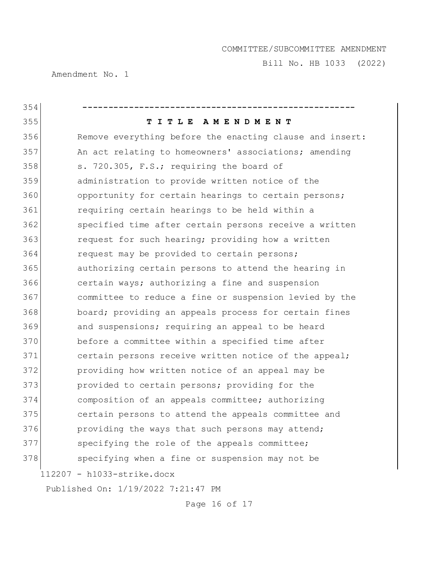Bill No. HB 1033 (2022)

Amendment No. 1

| 354 |                                                          |
|-----|----------------------------------------------------------|
| 355 | TITLE AMENDMENT                                          |
| 356 | Remove everything before the enacting clause and insert: |
| 357 | An act relating to homeowners' associations; amending    |
| 358 | s. 720.305, F.S.; requiring the board of                 |
| 359 | administration to provide written notice of the          |
| 360 | opportunity for certain hearings to certain persons;     |
| 361 | requiring certain hearings to be held within a           |
| 362 | specified time after certain persons receive a written   |
| 363 | request for such hearing; providing how a written        |
| 364 | request may be provided to certain persons;              |
| 365 | authorizing certain persons to attend the hearing in     |
| 366 | certain ways; authorizing a fine and suspension          |
| 367 | committee to reduce a fine or suspension levied by the   |
| 368 | board; providing an appeals process for certain fines    |
| 369 | and suspensions; requiring an appeal to be heard         |
| 370 | before a committee within a specified time after         |
| 371 | certain persons receive written notice of the appeal;    |
| 372 | providing how written notice of an appeal may be         |
| 373 | provided to certain persons; providing for the           |
| 374 | composition of an appeals committee; authorizing         |
| 375 | certain persons to attend the appeals committee and      |
| 376 | providing the ways that such persons may attend;         |
| 377 | specifying the role of the appeals committee;            |
| 378 | specifying when a fine or suspension may not be          |
|     | 112207 - h1033-strike.docx                               |
|     | Published On: 1/19/2022 7:21:47 PM                       |

Page 16 of 17